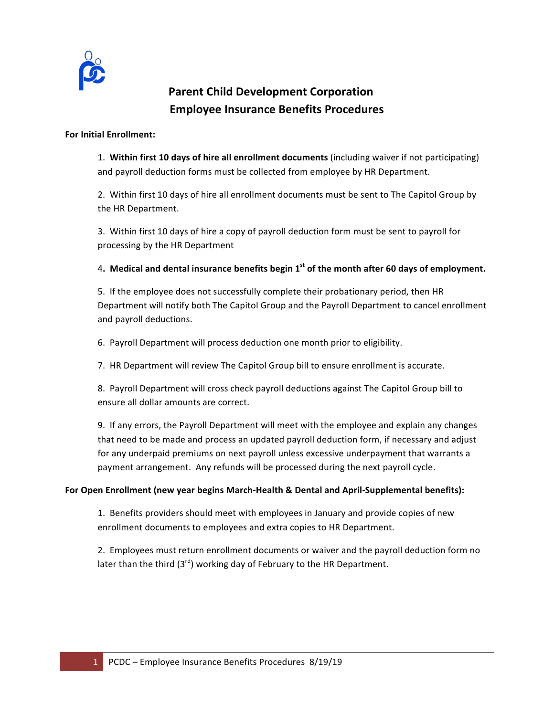

# **Parent Child Development Corporation Employee Insurance Benefits Procedures**

## **For Initial Enrollment:**

1. Within first 10 days of hire all enrollment documents (including waiver if not participating) and payroll deduction forms must be collected from employee by HR Department.

2. Within first 10 days of hire all enrollment documents must be sent to The Capitol Group by the HR Department.

3. Within first 10 days of hire a copy of payroll deduction form must be sent to payroll for processing by the HR Department

4. Medical and dental insurance benefits begin 1<sup>st</sup> of the month after 60 days of employment.

5. If the employee does not successfully complete their probationary period, then HR Department will notify both The Capitol Group and the Payroll Department to cancel enrollment and payroll deductions.

6. Payroll Department will process deduction one month prior to eligibility.

7. HR Department will review The Capitol Group bill to ensure enrollment is accurate.

8. Payroll Department will cross check payroll deductions against The Capitol Group bill to ensure all dollar amounts are correct.

9. If any errors, the Payroll Department will meet with the employee and explain any changes that need to be made and process an updated payroll deduction form, if necessary and adjust for any underpaid premiums on next payroll unless excessive underpayment that warrants a payment arrangement. Any refunds will be processed during the next payroll cycle.

## For Open Enrollment (new year begins March-Health & Dental and April-Supplemental benefits):

1. Benefits providers should meet with employees in January and provide copies of new enrollment documents to employees and extra copies to HR Department.

2. Employees must return enrollment documents or waiver and the payroll deduction form no later than the third  $(3^{rd})$  working day of February to the HR Department.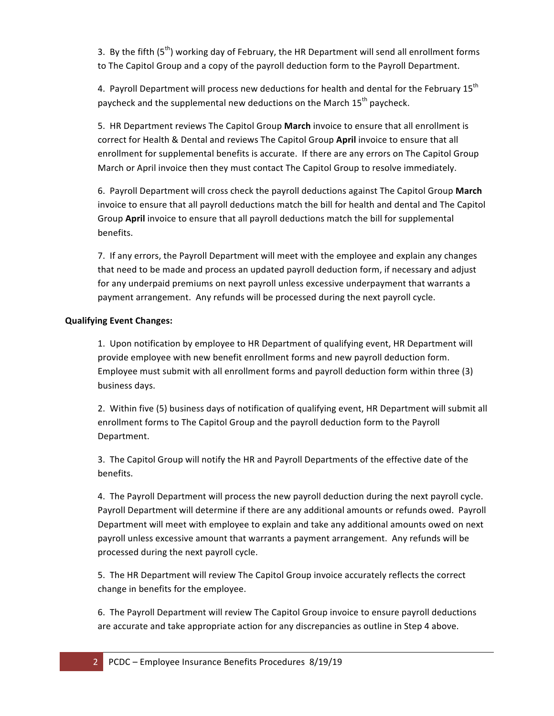3. By the fifth  $(5<sup>th</sup>)$  working day of February, the HR Department will send all enrollment forms to The Capitol Group and a copy of the payroll deduction form to the Payroll Department.

4. Payroll Department will process new deductions for health and dental for the February  $15^{th}$ paycheck and the supplemental new deductions on the March  $15<sup>th</sup>$  paycheck.

5. HR Department reviews The Capitol Group March invoice to ensure that all enrollment is correct for Health & Dental and reviews The Capitol Group April invoice to ensure that all enrollment for supplemental benefits is accurate. If there are any errors on The Capitol Group March or April invoice then they must contact The Capitol Group to resolve immediately.

6. Payroll Department will cross check the payroll deductions against The Capitol Group March invoice to ensure that all payroll deductions match the bill for health and dental and The Capitol Group April invoice to ensure that all payroll deductions match the bill for supplemental benefits. 

7. If any errors, the Payroll Department will meet with the employee and explain any changes that need to be made and process an updated payroll deduction form, if necessary and adjust for any underpaid premiums on next payroll unless excessive underpayment that warrants a payment arrangement. Any refunds will be processed during the next payroll cycle.

## **Qualifying Event Changes:**

1. Upon notification by employee to HR Department of qualifying event, HR Department will provide employee with new benefit enrollment forms and new payroll deduction form. Employee must submit with all enrollment forms and payroll deduction form within three (3) business days.

2. Within five (5) business days of notification of qualifying event, HR Department will submit all enrollment forms to The Capitol Group and the payroll deduction form to the Payroll Department.

3. The Capitol Group will notify the HR and Payroll Departments of the effective date of the benefits.

4. The Payroll Department will process the new payroll deduction during the next payroll cycle. Payroll Department will determine if there are any additional amounts or refunds owed. Payroll Department will meet with employee to explain and take any additional amounts owed on next payroll unless excessive amount that warrants a payment arrangement. Any refunds will be processed during the next payroll cycle.

5. The HR Department will review The Capitol Group invoice accurately reflects the correct change in benefits for the employee.

6. The Payroll Department will review The Capitol Group invoice to ensure payroll deductions are accurate and take appropriate action for any discrepancies as outline in Step 4 above.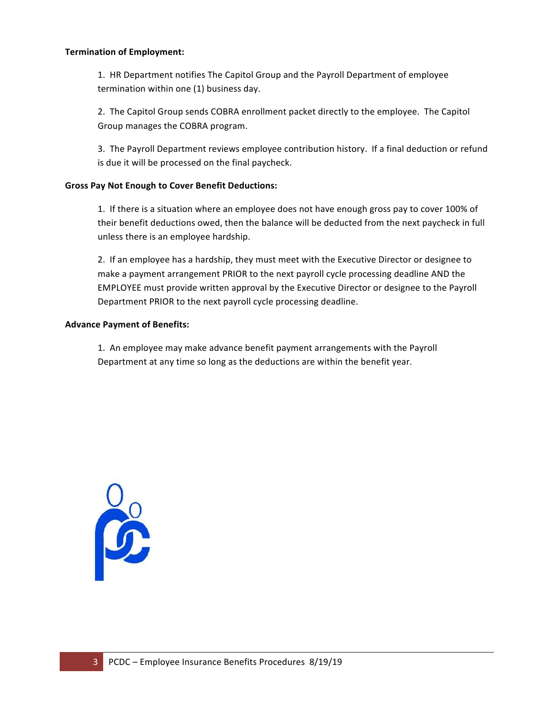### **Termination of Employment:**

1. HR Department notifies The Capitol Group and the Payroll Department of employee termination within one (1) business day.

2. The Capitol Group sends COBRA enrollment packet directly to the employee. The Capitol Group manages the COBRA program.

3. The Payroll Department reviews employee contribution history. If a final deduction or refund is due it will be processed on the final paycheck.

### **Gross Pay Not Enough to Cover Benefit Deductions:**

1. If there is a situation where an employee does not have enough gross pay to cover 100% of their benefit deductions owed, then the balance will be deducted from the next paycheck in full unless there is an employee hardship.

2. If an employee has a hardship, they must meet with the Executive Director or designee to make a payment arrangement PRIOR to the next payroll cycle processing deadline AND the EMPLOYEE must provide written approval by the Executive Director or designee to the Payroll Department PRIOR to the next payroll cycle processing deadline.

### **Advance Payment of Benefits:**

1. An employee may make advance benefit payment arrangements with the Payroll Department at any time so long as the deductions are within the benefit year.